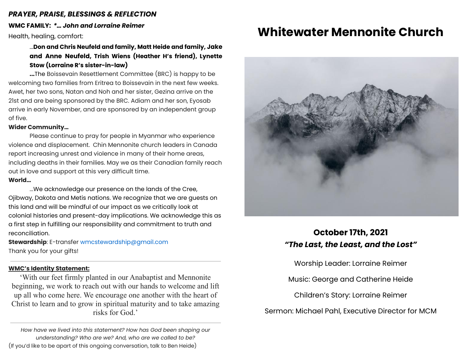### *PRAYER, PRAISE, BLESSINGS & REFLECTION*

**WMC FAMILY:** *\*… John and Lorraine Reimer*

Health, healing, comfort:

...**Don and Chris Neufeld and family, Matt Heide and family, Jake and Anne Neufeld, Trish Wiens (Heather H's friend), Lynette Stow (Lorraine R's sister-in-law)**

**...**The Boissevain Resettlement Committee (BRC) is happy to be welcoming two families from Eritrea to Boissevain in the next few weeks. Awet, her two sons, Natan and Noh and her sister, Gezina arrive on the 21st and are being sponsored by the BRC. Adiam and her son, Eyosab arrive in early November, and are sponsored by an independent group of five.

### **Wider Community…**

Please continue to pray for people in Myanmar who experience violence and displacement. Chin Mennonite church leaders in Canada report increasing unrest and violence in many of their home areas, including deaths in their families. May we as their Canadian family reach out in love and support at this very difficult time.

### **World…**

...We acknowledge our presence on the lands of the Cree, Ojibway, Dakota and Metis nations. We recognize that we are guests on this land and will be mindful of our impact as we critically look at colonial histories and present-day implications. We acknowledge this as a first step in fulfilling our responsibility and commitment to truth and reconciliation.

**Stewardship**: E-transfer [wmcstewardship@gmail.com](mailto:wmcstewardship@gmail.com) Thank you for your gifts!

### **WMC's Identity Statement:**

'With our feet firmly planted in our Anabaptist and Mennonite beginning, we work to reach out with our hands to welcome and lift up all who come here. We encourage one another with the heart of Christ to learn and to grow in spiritual maturity and to take amazing risks for God.'

*How have we lived into this statement? How has God been shaping our understanding? Who are we? And, who are we called to be?* (If you'd like to be apart of this ongoing conversation, talk to Ben Heide)

# **Whitewater Mennonite Church**



### **October 17th, 2021** *"The Last, the Least, and the Lost"*

Worship Leader: Lorraine Reimer

Music: George and Catherine Heide

Children's Story: Lorraine Reimer

Sermon: Michael Pahl, Executive Director for MCM